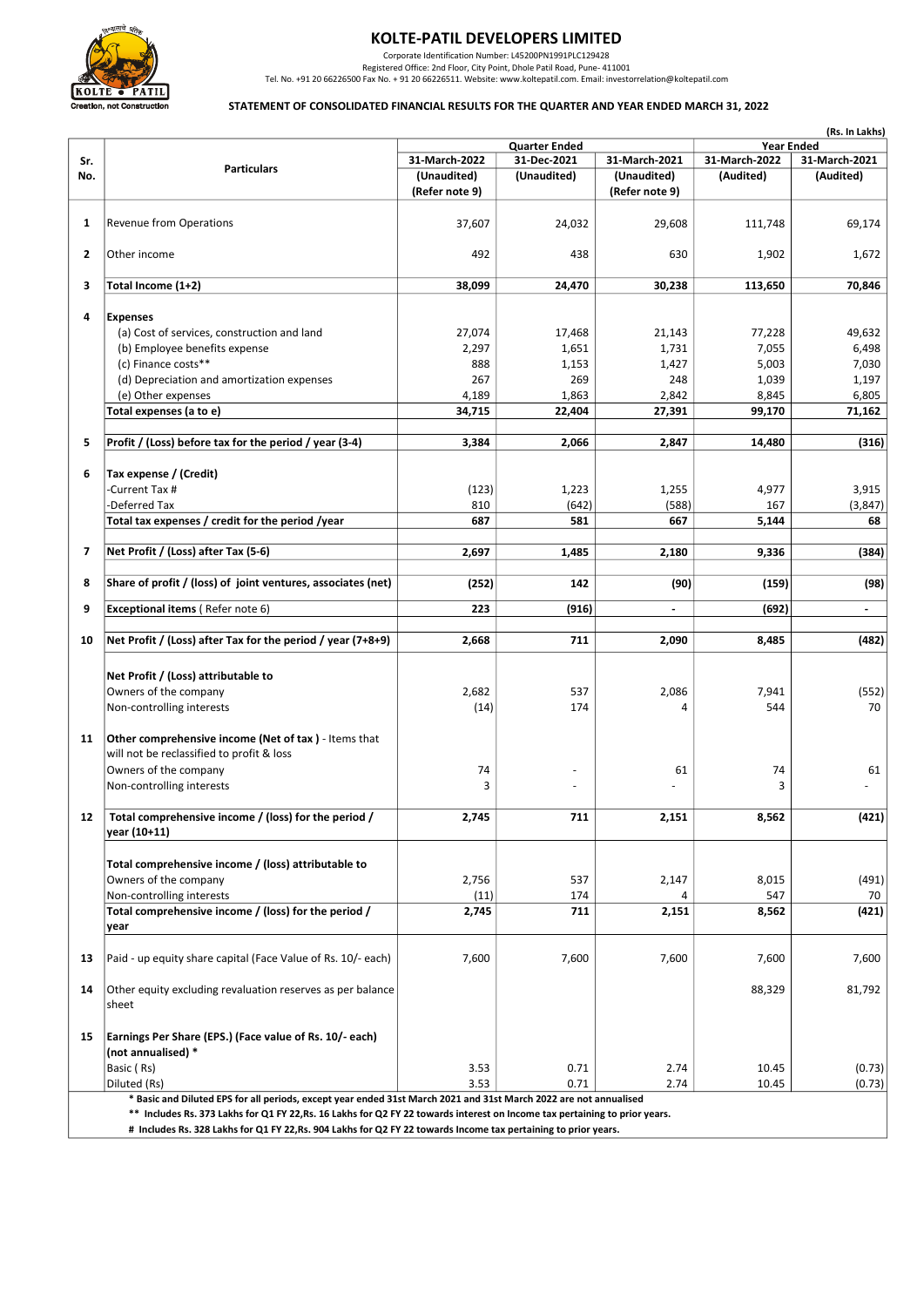

# KOLTE-PATIL DEVELOPERS LIMITED

Corporate Identification Number: L45200PN1991PLC129428

Registered Office: 2nd Floor, City Point, Dhole Patil Road, Pune- 411001 Publishered Office: 2nd Floor, City Point, Dhole Patil Road, Pune- 411001 Pul. No. +91 20 66226500 Fax No. +91 20 66226511. Website: www.koltepatil.c

### STATEMENT OF CONSOLIDATED FINANCIAL RESULTS FOR THE QUARTER AND YEAR ENDED MARCH 31, 2022

|     | (Rs. In Lakhs)                                                                                                    |                               |                      |                               |                   |                |  |  |
|-----|-------------------------------------------------------------------------------------------------------------------|-------------------------------|----------------------|-------------------------------|-------------------|----------------|--|--|
|     |                                                                                                                   |                               | <b>Quarter Ended</b> |                               | <b>Year Ended</b> |                |  |  |
| Sr. | <b>Particulars</b>                                                                                                | 31-March-2022                 | 31-Dec-2021          | 31-March-2021                 | 31-March-2022     | 31-March-2021  |  |  |
| No. |                                                                                                                   | (Unaudited)<br>(Refer note 9) | (Unaudited)          | (Unaudited)<br>(Refer note 9) | (Audited)         | (Audited)      |  |  |
|     |                                                                                                                   |                               |                      |                               |                   |                |  |  |
| 1   | <b>Revenue from Operations</b>                                                                                    | 37,607                        | 24,032               | 29,608                        | 111,748           | 69,174         |  |  |
|     |                                                                                                                   |                               |                      |                               |                   |                |  |  |
| 2   | Other income                                                                                                      | 492                           | 438                  | 630                           | 1,902             | 1,672          |  |  |
|     |                                                                                                                   |                               |                      |                               |                   |                |  |  |
| 3   | Total Income (1+2)                                                                                                | 38,099                        | 24,470               | 30,238                        | 113,650           | 70,846         |  |  |
|     |                                                                                                                   |                               |                      |                               |                   |                |  |  |
| 4   | <b>Expenses</b>                                                                                                   |                               |                      |                               |                   |                |  |  |
|     | (a) Cost of services, construction and land                                                                       | 27,074                        | 17,468               | 21,143                        | 77,228            | 49,632         |  |  |
|     | (b) Employee benefits expense                                                                                     | 2,297                         | 1,651                | 1,731                         | 7,055             | 6,498          |  |  |
|     | (c) Finance costs**                                                                                               | 888                           | 1,153                | 1,427                         | 5,003             | 7,030          |  |  |
|     | (d) Depreciation and amortization expenses                                                                        | 267                           | 269                  | 248                           | 1,039             | 1,197          |  |  |
|     | (e) Other expenses                                                                                                | 4,189                         | 1,863                | 2,842                         | 8,845             | 6,805          |  |  |
|     | Total expenses (a to e)                                                                                           | 34,715                        | 22,404               | 27,391                        | 99,170            | 71,162         |  |  |
|     |                                                                                                                   |                               |                      |                               |                   |                |  |  |
| 5   | Profit / (Loss) before tax for the period / year (3-4)                                                            | 3,384                         | 2,066                | 2,847                         | 14,480            | (316)          |  |  |
|     |                                                                                                                   |                               |                      |                               |                   |                |  |  |
| 6   | Tax expense / (Credit)                                                                                            |                               |                      |                               |                   |                |  |  |
|     | -Current Tax #                                                                                                    | (123)                         | 1,223                | 1,255                         | 4,977             | 3,915          |  |  |
|     | -Deferred Tax                                                                                                     | 810                           | (642)                | (588)                         | 167               | (3, 847)       |  |  |
|     | Total tax expenses / credit for the period /year                                                                  | 687                           | 581                  | 667                           | 5,144             | 68             |  |  |
|     |                                                                                                                   |                               |                      |                               |                   |                |  |  |
| 7   | Net Profit / (Loss) after Tax (5-6)                                                                               | 2,697                         | 1,485                | 2,180                         | 9,336             | (384)          |  |  |
|     |                                                                                                                   |                               |                      |                               |                   |                |  |  |
| 8   | Share of profit / (loss) of joint ventures, associates (net)                                                      | (252)                         | 142                  | (90)                          | (159)             | (98)           |  |  |
| 9   | <b>Exceptional items (Refer note 6)</b>                                                                           | 223                           | (916)                | $\blacksquare$                | (692)             | $\blacksquare$ |  |  |
|     |                                                                                                                   |                               |                      |                               |                   |                |  |  |
| 10  | Net Profit / (Loss) after Tax for the period / year (7+8+9)                                                       | 2,668                         | 711                  | 2,090                         | 8,485             | (482)          |  |  |
|     |                                                                                                                   |                               |                      |                               |                   |                |  |  |
|     |                                                                                                                   |                               |                      |                               |                   |                |  |  |
|     | Net Profit / (Loss) attributable to                                                                               |                               |                      |                               |                   |                |  |  |
|     | Owners of the company                                                                                             | 2,682                         | 537                  | 2,086                         | 7,941             | (552)          |  |  |
|     | Non-controlling interests                                                                                         | (14)                          | 174                  | 4                             | 544               | 70             |  |  |
|     |                                                                                                                   |                               |                      |                               |                   |                |  |  |
| 11  | Other comprehensive income (Net of tax) - Items that                                                              |                               |                      |                               |                   |                |  |  |
|     | will not be reclassified to profit & loss                                                                         |                               |                      |                               |                   |                |  |  |
|     | Owners of the company                                                                                             | 74                            |                      | 61                            | 74                | 61             |  |  |
|     | Non-controlling interests                                                                                         | 3                             |                      |                               | 3                 |                |  |  |
|     |                                                                                                                   |                               |                      |                               |                   |                |  |  |
| 12  | Total comprehensive income / (loss) for the period /                                                              | 2,745                         | 711                  | 2,151                         | 8,562             | (421)          |  |  |
|     | year (10+11)                                                                                                      |                               |                      |                               |                   |                |  |  |
|     |                                                                                                                   |                               |                      |                               |                   |                |  |  |
|     | Total comprehensive income / (loss) attributable to                                                               |                               |                      |                               |                   |                |  |  |
|     | Owners of the company                                                                                             | 2,756                         | 537                  | 2,147                         | 8,015             | (491)          |  |  |
|     | Non-controlling interests                                                                                         | (11)                          | 174                  | 4                             | 547               | 70             |  |  |
|     | Total comprehensive income / (loss) for the period /                                                              | 2,745                         | 711                  | 2,151                         | 8,562             | (421)          |  |  |
|     | year                                                                                                              |                               |                      |                               |                   |                |  |  |
|     |                                                                                                                   |                               |                      |                               |                   |                |  |  |
| 13  | Paid - up equity share capital (Face Value of Rs. 10/- each)                                                      | 7,600                         | 7,600                | 7,600                         | 7,600             | 7,600          |  |  |
|     |                                                                                                                   |                               |                      |                               |                   |                |  |  |
| 14  | Other equity excluding revaluation reserves as per balance                                                        |                               |                      |                               | 88,329            | 81,792         |  |  |
|     | sheet                                                                                                             |                               |                      |                               |                   |                |  |  |
|     |                                                                                                                   |                               |                      |                               |                   |                |  |  |
| 15  | Earnings Per Share (EPS.) (Face value of Rs. 10/- each)                                                           |                               |                      |                               |                   |                |  |  |
|     | (not annualised) *                                                                                                |                               |                      |                               |                   |                |  |  |
|     | Basic (Rs)                                                                                                        | 3.53                          | 0.71                 | 2.74                          | 10.45             | (0.73)         |  |  |
|     | Diluted (Rs)                                                                                                      | 3.53                          | 0.71                 | 2.74                          | 10.45             | (0.73)         |  |  |
|     | * Basic and Diluted EPS for all periods, except year ended 31st March 2021 and 31st March 2022 are not annualised |                               |                      |                               |                   |                |  |  |

\*\* Includes Rs. 373 Lakhs for Q1 FY 22,Rs. 16 Lakhs for Q2 FY 22 towards interest on Income tax pertaining to prior years.

# Includes Rs. 328 Lakhs for Q1 FY 22,Rs. 904 Lakhs for Q2 FY 22 towards Income tax pertaining to prior years.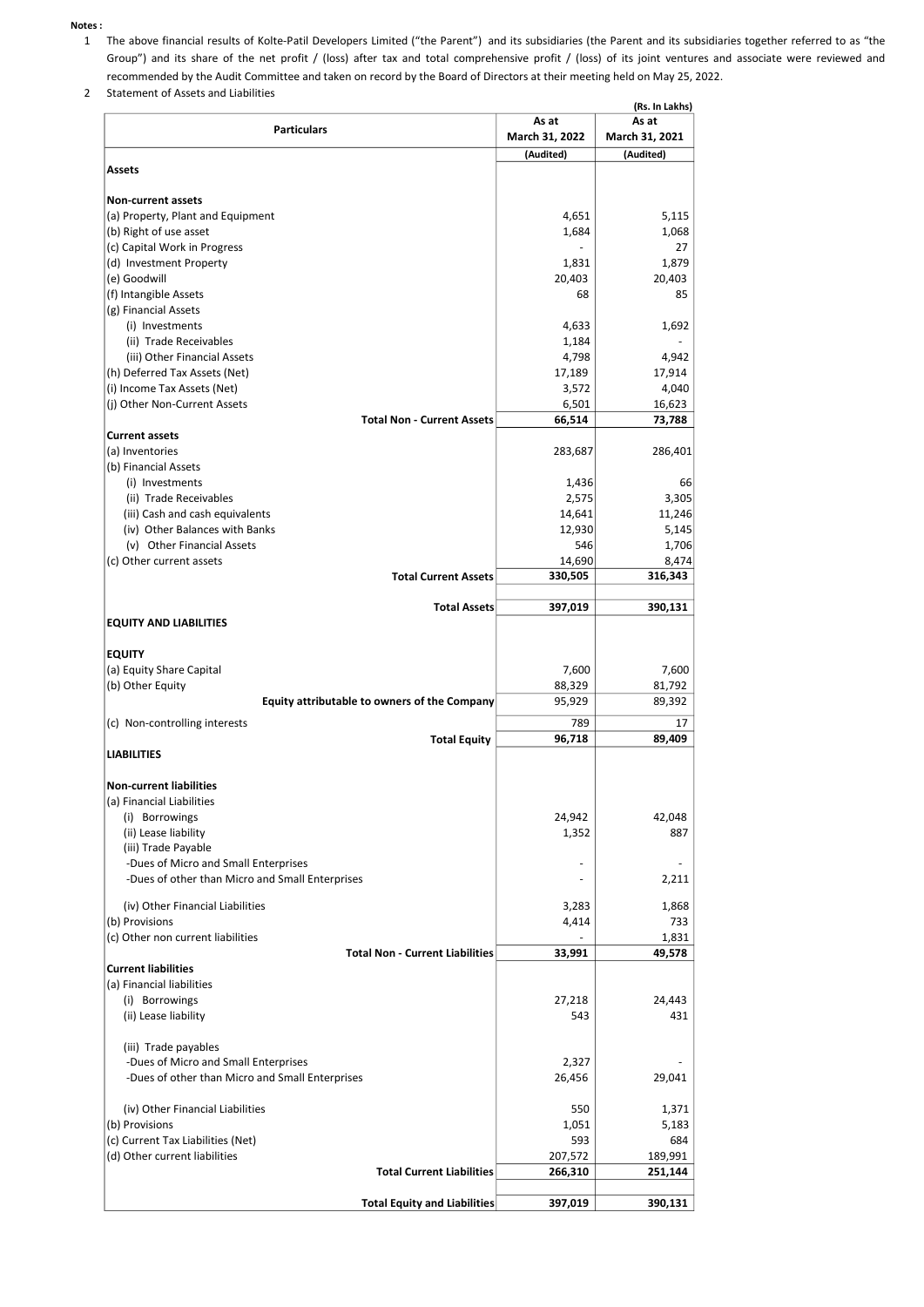#### Notes :

- 1 The above financial results of Kolte-Patil Developers Limited ("the Parent") and its subsidiaries (the Parent and its subsidiaries together referred to as "the Group") and its share of the net profit / (loss) after tax and total comprehensive profit / (loss) of its joint ventures and associate were reviewed and recommended by the Audit Committee and taken on record by the Board of Directors at their meeting held on May 25, 2022.
- 2 Statement of Assets and Liabilities

|                                                        |                         | (Rs. In Lakhs)<br>As at |
|--------------------------------------------------------|-------------------------|-------------------------|
| <b>Particulars</b>                                     | As at<br>March 31, 2022 | March 31, 2021          |
|                                                        | (Audited)               | (Audited)               |
| Assets                                                 |                         |                         |
|                                                        |                         |                         |
| <b>Non-current assets</b>                              |                         |                         |
| (a) Property, Plant and Equipment                      | 4,651                   | 5,115                   |
| (b) Right of use asset                                 | 1,684                   | 1,068                   |
| (c) Capital Work in Progress                           |                         | 27                      |
| (d) Investment Property                                | 1,831                   | 1,879                   |
| (e) Goodwill                                           | 20,403                  | 20,403                  |
| (f) Intangible Assets                                  | 68                      | 85                      |
| (g) Financial Assets                                   |                         |                         |
| (i) Investments                                        | 4,633                   | 1,692                   |
| (ii) Trade Receivables<br>(iii) Other Financial Assets | 1,184<br>4,798          | 4,942                   |
| (h) Deferred Tax Assets (Net)                          | 17,189                  | 17,914                  |
| (i) Income Tax Assets (Net)                            | 3,572                   | 4,040                   |
| (j) Other Non-Current Assets                           | 6,501                   | 16,623                  |
| <b>Total Non - Current Assets</b>                      | 66,514                  | 73,788                  |
| <b>Current assets</b>                                  |                         |                         |
| (a) Inventories                                        | 283,687                 | 286,401                 |
| (b) Financial Assets                                   |                         |                         |
| (i) Investments                                        | 1,436                   | 66                      |
| (ii) Trade Receivables                                 | 2,575                   | 3,305                   |
| (iii) Cash and cash equivalents                        | 14,641                  | 11,246                  |
| (iv) Other Balances with Banks                         | 12,930                  | 5,145                   |
| (v) Other Financial Assets                             | 546                     | 1,706                   |
| (c) Other current assets                               | 14,690                  | 8,474                   |
| <b>Total Current Assets</b>                            | 330,505                 | 316,343                 |
|                                                        |                         |                         |
| <b>Total Assets</b>                                    | 397,019                 | 390,131                 |
| <b>EQUITY AND LIABILITIES</b>                          |                         |                         |
| <b>EQUITY</b>                                          |                         |                         |
| (a) Equity Share Capital                               | 7,600                   | 7,600                   |
| (b) Other Equity                                       | 88,329                  | 81,792                  |
| Equity attributable to owners of the Company           | 95,929                  | 89,392                  |
|                                                        |                         |                         |
| (c) Non-controlling interests<br><b>Total Equity</b>   | 789<br>96,718           | 17<br>89,409            |
| <b>LIABILITIES</b>                                     |                         |                         |
|                                                        |                         |                         |
| <b>Non-current liabilities</b>                         |                         |                         |
| (a) Financial Liabilities                              |                         |                         |
| (i) Borrowings                                         | 24,942                  | 42,048                  |
| (ii) Lease liability                                   | 1,352                   | 887                     |
| (iii) Trade Payable                                    |                         |                         |
| -Dues of Micro and Small Enterprises                   |                         |                         |
| -Dues of other than Micro and Small Enterprises        |                         | 2,211                   |
|                                                        |                         |                         |
| (iv) Other Financial Liabilities<br>(b) Provisions     | 3,283                   | 1,868<br>733            |
| (c) Other non current liabilities                      | 4,414                   | 1,831                   |
| <b>Total Non - Current Liabilities</b>                 | 33,991                  | 49,578                  |
| <b>Current liabilities</b>                             |                         |                         |
| (a) Financial liabilities                              |                         |                         |
| (i) Borrowings                                         | 27,218                  | 24,443                  |
| (ii) Lease liability                                   | 543                     | 431                     |
|                                                        |                         |                         |
| (iii) Trade payables                                   |                         |                         |
| -Dues of Micro and Small Enterprises                   | 2,327                   |                         |
| -Dues of other than Micro and Small Enterprises        | 26,456                  | 29,041                  |
|                                                        |                         |                         |
| (iv) Other Financial Liabilities                       | 550                     | 1,371                   |
| (b) Provisions                                         | 1,051                   | 5,183                   |
| (c) Current Tax Liabilities (Net)                      | 593                     | 684                     |
| (d) Other current liabilities                          | 207,572                 | 189,991                 |
| <b>Total Current Liabilities</b>                       | 266,310                 | 251,144                 |
|                                                        |                         |                         |
| <b>Total Equity and Liabilities</b>                    | 397,019                 | 390,131                 |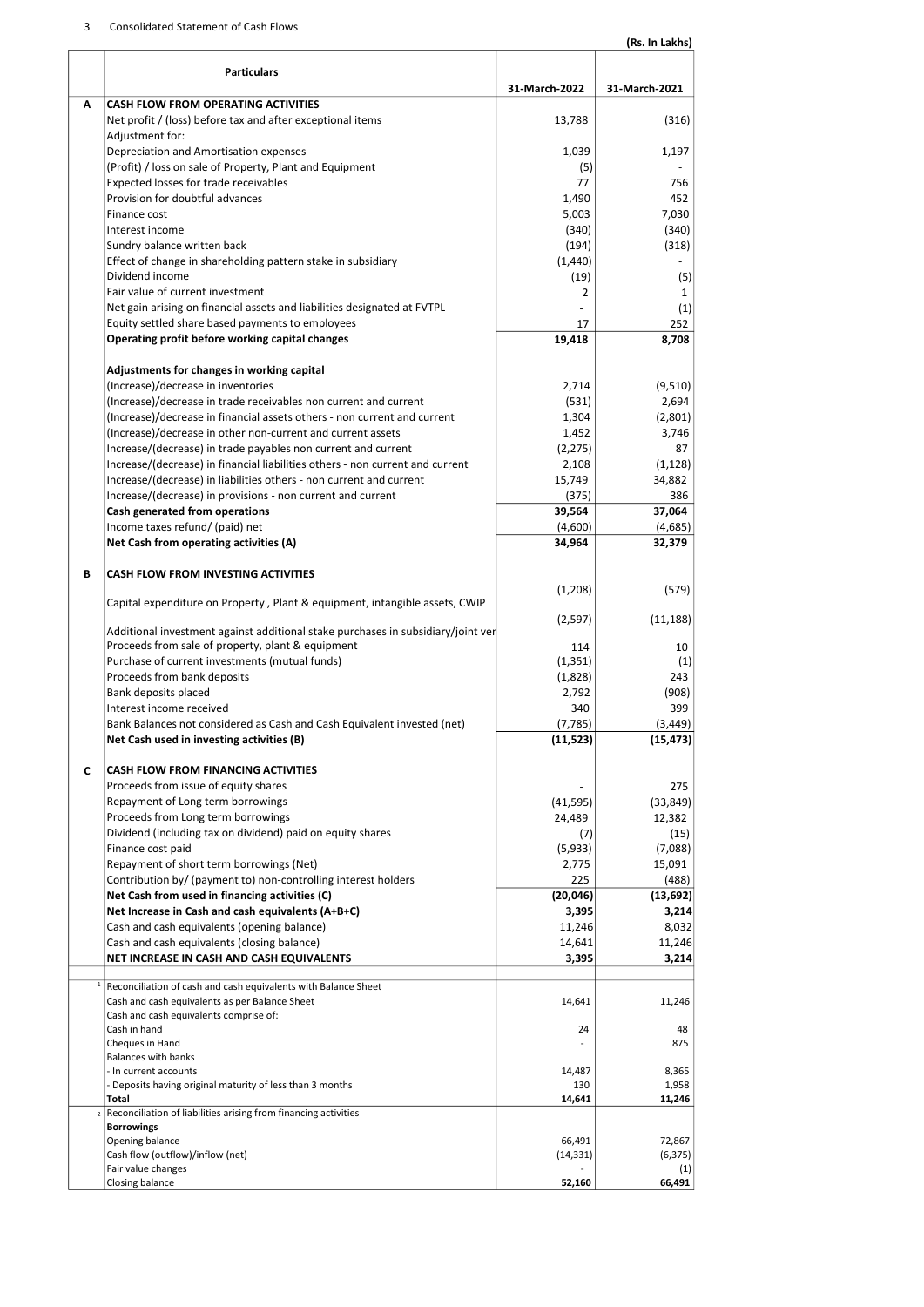## 3 Consolidated Statement of Cash Flows

|   |                                                                                                            |                   | (Rs. In Lakhs)  |
|---|------------------------------------------------------------------------------------------------------------|-------------------|-----------------|
|   | <b>Particulars</b>                                                                                         | 31-March-2022     | 31-March-2021   |
| Α | <b>CASH FLOW FROM OPERATING ACTIVITIES</b>                                                                 |                   |                 |
|   | Net profit / (loss) before tax and after exceptional items                                                 | 13,788            | (316)           |
|   | Adjustment for:                                                                                            |                   |                 |
|   | Depreciation and Amortisation expenses                                                                     | 1,039             | 1,197           |
|   | (Profit) / loss on sale of Property, Plant and Equipment                                                   | (5)               |                 |
|   | Expected losses for trade receivables                                                                      | 77                | 756             |
|   | Provision for doubtful advances<br>Finance cost                                                            | 1,490<br>5,003    | 452<br>7,030    |
|   | Interest income                                                                                            | (340)             | (340)           |
|   | Sundry balance written back                                                                                | (194)             | (318)           |
|   | Effect of change in shareholding pattern stake in subsidiary                                               | (1,440)           |                 |
|   | Dividend income                                                                                            | (19)              | (5)             |
|   | Fair value of current investment                                                                           | $\overline{2}$    | 1               |
|   | Net gain arising on financial assets and liabilities designated at FVTPL                                   |                   | (1)             |
|   | Equity settled share based payments to employees                                                           | 17                | 252             |
|   | Operating profit before working capital changes                                                            | 19,418            | 8,708           |
|   | Adjustments for changes in working capital                                                                 |                   |                 |
|   | (Increase)/decrease in inventories                                                                         | 2,714             | (9,510)         |
|   | (Increase)/decrease in trade receivables non current and current                                           | (531)             | 2,694           |
|   | (Increase)/decrease in financial assets others - non current and current                                   | 1,304             | (2,801)         |
|   | (Increase)/decrease in other non-current and current assets                                                | 1,452             | 3,746           |
|   | Increase/(decrease) in trade payables non current and current                                              | (2, 275)          | 87              |
|   | Increase/(decrease) in financial liabilities others - non current and current                              | 2,108             | (1, 128)        |
|   | Increase/(decrease) in liabilities others - non current and current                                        | 15,749            | 34,882          |
|   | Increase/(decrease) in provisions - non current and current<br>Cash generated from operations              | (375)             | 386<br>37,064   |
|   | Income taxes refund/ (paid) net                                                                            | 39,564<br>(4,600) | (4,685)         |
|   | Net Cash from operating activities (A)                                                                     | 34,964            | 32,379          |
| В | CASH FLOW FROM INVESTING ACTIVITIES                                                                        |                   |                 |
|   |                                                                                                            | (1,208)           | (579)           |
|   | Capital expenditure on Property, Plant & equipment, intangible assets, CWIP                                | (2,597)           | (11, 188)       |
|   | Additional investment against additional stake purchases in subsidiary/joint ver                           |                   |                 |
|   | Proceeds from sale of property, plant & equipment                                                          | 114               | 10              |
|   | Purchase of current investments (mutual funds)                                                             | (1, 351)          | (1)             |
|   | Proceeds from bank deposits                                                                                | (1,828)           | 243             |
|   | Bank deposits placed                                                                                       | 2,792             | (908)           |
|   | Interest income received<br>Bank Balances not considered as Cash and Cash Equivalent invested (net)        | 340<br>(7, 785)   | 399<br>(3, 449) |
|   | Net Cash used in investing activities (B)                                                                  | (11, 523)         | (15, 473)       |
|   |                                                                                                            |                   |                 |
| C | <b>CASH FLOW FROM FINANCING ACTIVITIES</b>                                                                 |                   |                 |
|   | Proceeds from issue of equity shares                                                                       |                   | 275             |
|   | Repayment of Long term borrowings                                                                          | (41, 595)         | (33, 849)       |
|   | Proceeds from Long term borrowings                                                                         | 24,489            | 12,382          |
|   | Dividend (including tax on dividend) paid on equity shares                                                 | (7)               | (15)            |
|   | Finance cost paid                                                                                          | (5,933)           | (7,088)         |
|   | Repayment of short term borrowings (Net)<br>Contribution by/ (payment to) non-controlling interest holders | 2,775<br>225      | 15,091<br>(488) |
|   | Net Cash from used in financing activities (C)                                                             | (20, 046)         | (13, 692)       |
|   | Net Increase in Cash and cash equivalents (A+B+C)                                                          | 3,395             | 3,214           |
|   | Cash and cash equivalents (opening balance)                                                                | 11,246            | 8,032           |
|   | Cash and cash equivalents (closing balance)                                                                | 14,641            | 11,246          |
|   | NET INCREASE IN CASH AND CASH EQUIVALENTS                                                                  | 3,395             | 3,214           |
|   | Reconciliation of cash and cash equivalents with Balance Sheet                                             |                   |                 |
|   | Cash and cash equivalents as per Balance Sheet<br>Cash and cash equivalents comprise of:                   | 14,641            | 11,246          |
|   | Cash in hand                                                                                               | 24                | 48              |
|   | Cheques in Hand<br><b>Balances with banks</b>                                                              |                   | 875             |
|   | - In current accounts                                                                                      | 14,487            | 8,365           |
|   | - Deposits having original maturity of less than 3 months                                                  | 130               | 1,958           |
|   | Total                                                                                                      | 14,641            | 11,246          |
|   | Reconciliation of liabilities arising from financing activities<br><b>Borrowings</b>                       |                   |                 |
|   | Opening balance                                                                                            | 66,491            | 72,867          |
|   | Cash flow (outflow)/inflow (net)                                                                           | (14, 331)         | (6, 375)        |
|   | Fair value changes                                                                                         |                   | (1)             |
|   | Closing balance                                                                                            | 52,160            | 66,491          |